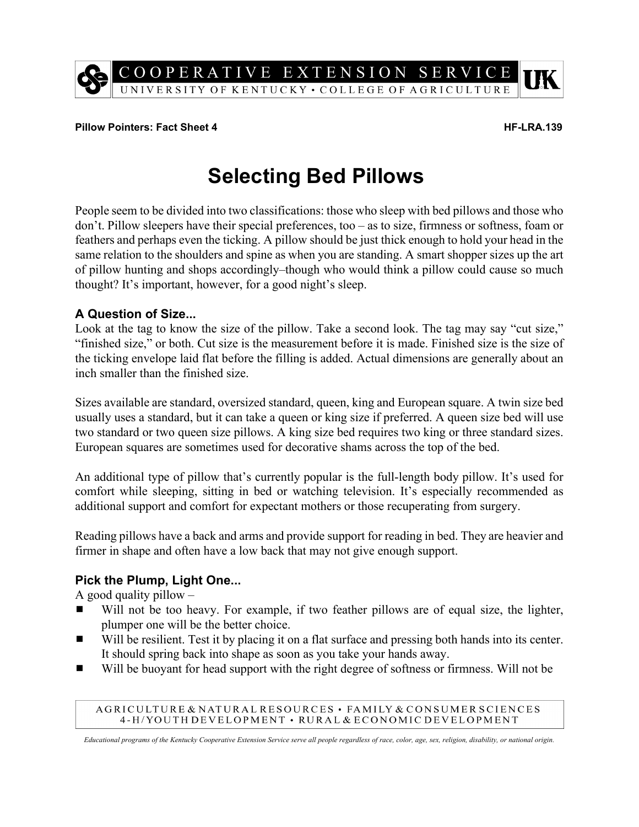

#### **Pillow Pointers: Fact Sheet 4 HF-LRA.139**

# **Selecting Bed Pillows**

People seem to be divided into two classifications: those who sleep with bed pillows and those who don't. Pillow sleepers have their special preferences, too – as to size, firmness or softness, foam or feathers and perhaps even the ticking. A pillow should be just thick enough to hold your head in the same relation to the shoulders and spine as when you are standing. A smart shopper sizes up the art of pillow hunting and shops accordingly–though who would think a pillow could cause so much thought? It's important, however, for a good night's sleep.

## **A Question of Size...**

Look at the tag to know the size of the pillow. Take a second look. The tag may say "cut size," "finished size," or both. Cut size is the measurement before it is made. Finished size is the size of the ticking envelope laid flat before the filling is added. Actual dimensions are generally about an inch smaller than the finished size.

Sizes available are standard, oversized standard, queen, king and European square. A twin size bed usually uses a standard, but it can take a queen or king size if preferred. A queen size bed will use two standard or two queen size pillows. A king size bed requires two king or three standard sizes. European squares are sometimes used for decorative shams across the top of the bed.

An additional type of pillow that's currently popular is the full-length body pillow. It's used for comfort while sleeping, sitting in bed or watching television. It's especially recommended as additional support and comfort for expectant mothers or those recuperating from surgery.

Reading pillows have a back and arms and provide support for reading in bed. They are heavier and firmer in shape and often have a low back that may not give enough support.

## **Pick the Plump, Light One...**

A good quality pillow  $-$ 

- $\blacksquare$  Will not be too heavy. For example, if two feather pillows are of equal size, the lighter, plumper one will be the better choice.
- Will be resilient. Test it by placing it on a flat surface and pressing both hands into its center. It should spring back into shape as soon as you take your hands away.
- Will be buoyant for head support with the right degree of softness or firmness. Will not be

#### AGRICULTURE & NATURAL RESOURCES · FAMILY & CONSUMER SCIENCES 4-H/YOUTH DEVELOPMENT · RURAL & ECONOMIC DEVELOPMENT

*Educational programs of the Kentucky Cooperative Extension Service serve all people regardless of race, color, age, sex, religion, disability, or national origin.*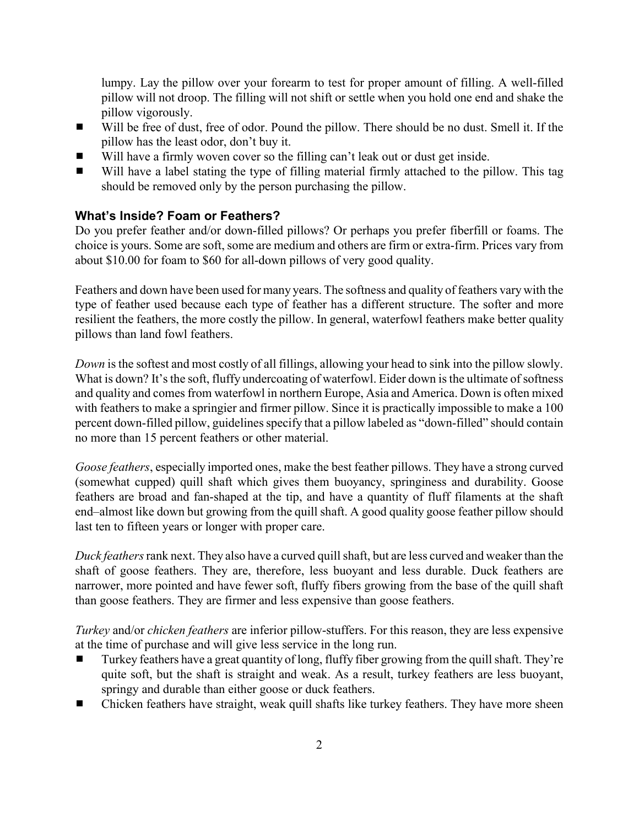lumpy. Lay the pillow over your forearm to test for proper amount of filling. A well-filled pillow will not droop. The filling will not shift or settle when you hold one end and shake the pillow vigorously.

- Will be free of dust, free of odor. Pound the pillow. There should be no dust. Smell it. If the pillow has the least odor, don't buy it.
- Will have a firmly woven cover so the filling can't leak out or dust get inside.
- Will have a label stating the type of filling material firmly attached to the pillow. This tag should be removed only by the person purchasing the pillow.

# **What's Inside? Foam or Feathers?**

Do you prefer feather and/or down-filled pillows? Or perhaps you prefer fiberfill or foams. The choice is yours. Some are soft, some are medium and others are firm or extra-firm. Prices vary from about \$10.00 for foam to \$60 for all-down pillows of very good quality.

Feathers and down have been used for many years. The softness and quality of feathers vary with the type of feather used because each type of feather has a different structure. The softer and more resilient the feathers, the more costly the pillow. In general, waterfowl feathers make better quality pillows than land fowl feathers.

*Down* is the softest and most costly of all fillings, allowing your head to sink into the pillow slowly. What is down? It's the soft, fluffy undercoating of waterfowl. Eider down is the ultimate of softness and quality and comes from waterfowl in northern Europe, Asia and America. Down is often mixed with feathers to make a springier and firmer pillow. Since it is practically impossible to make a 100 percent down-filled pillow, guidelines specify that a pillow labeled as "down-filled" should contain no more than 15 percent feathers or other material.

*Goose feathers*, especially imported ones, make the best feather pillows. They have a strong curved (somewhat cupped) quill shaft which gives them buoyancy, springiness and durability. Goose feathers are broad and fan-shaped at the tip, and have a quantity of fluff filaments at the shaft end–almost like down but growing from the quill shaft. A good quality goose feather pillow should last ten to fifteen years or longer with proper care.

*Duck feathers* rank next. They also have a curved quill shaft, but are less curved and weaker than the shaft of goose feathers. They are, therefore, less buoyant and less durable. Duck feathers are narrower, more pointed and have fewer soft, fluffy fibers growing from the base of the quill shaft than goose feathers. They are firmer and less expensive than goose feathers.

*Turkey* and/or *chicken feathers* are inferior pillow-stuffers. For this reason, they are less expensive at the time of purchase and will give less service in the long run.

- Turkey feathers have a great quantity of long, fluffy fiber growing from the quill shaft. They're quite soft, but the shaft is straight and weak. As a result, turkey feathers are less buoyant, springy and durable than either goose or duck feathers.
- $\blacksquare$  Chicken feathers have straight, weak quill shafts like turkey feathers. They have more sheen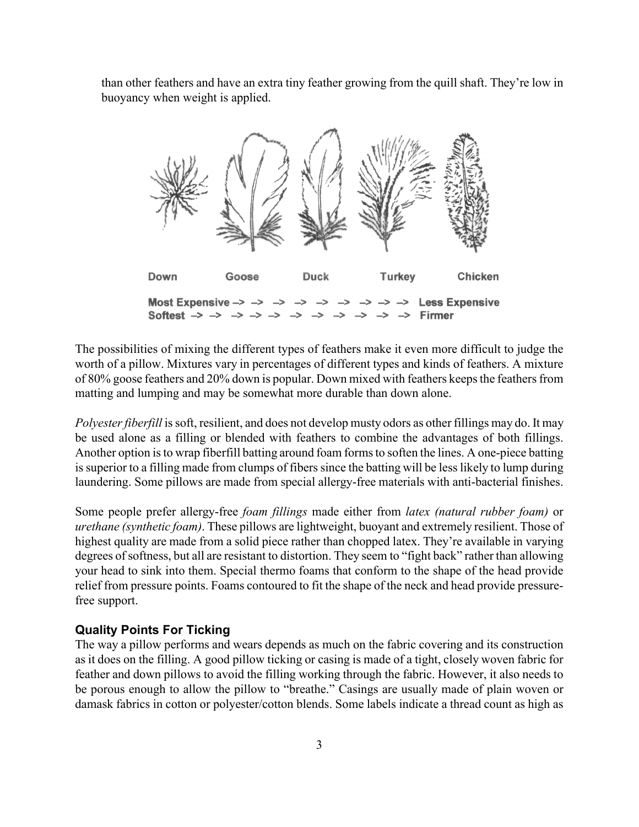than other feathers and have an extra tiny feather growing from the quill shaft. They're low in buoyancy when weight is applied.



The possibilities of mixing the different types of feathers make it even more difficult to judge the worth of a pillow. Mixtures vary in percentages of different types and kinds of feathers. A mixture of 80% goose feathers and 20% down is popular. Down mixed with feathers keeps the feathers from matting and lumping and may be somewhat more durable than down alone.

*Polyester fiberfill* is soft, resilient, and does not develop musty odors as other fillings may do. It may be used alone as a filling or blended with feathers to combine the advantages of both fillings. Another option is to wrap fiberfill batting around foam forms to soften the lines. A one-piece batting is superior to a filling made from clumps of fibers since the batting will be less likely to lump during laundering. Some pillows are made from special allergy-free materials with anti-bacterial finishes.

Some people prefer allergy-free *foam fillings* made either from *latex (natural rubber foam)* or *urethane (synthetic foam)*. These pillows are lightweight, buoyant and extremely resilient. Those of highest quality are made from a solid piece rather than chopped latex. They're available in varying degrees of softness, but all are resistant to distortion. They seem to "fight back" rather than allowing your head to sink into them. Special thermo foams that conform to the shape of the head provide relief from pressure points. Foams contoured to fit the shape of the neck and head provide pressurefree support.

### **Quality Points For Ticking**

The way a pillow performs and wears depends as much on the fabric covering and its construction as it does on the filling. A good pillow ticking or casing is made of a tight, closely woven fabric for feather and down pillows to avoid the filling working through the fabric. However, it also needs to be porous enough to allow the pillow to "breathe." Casings are usually made of plain woven or damask fabrics in cotton or polyester/cotton blends. Some labels indicate a thread count as high as